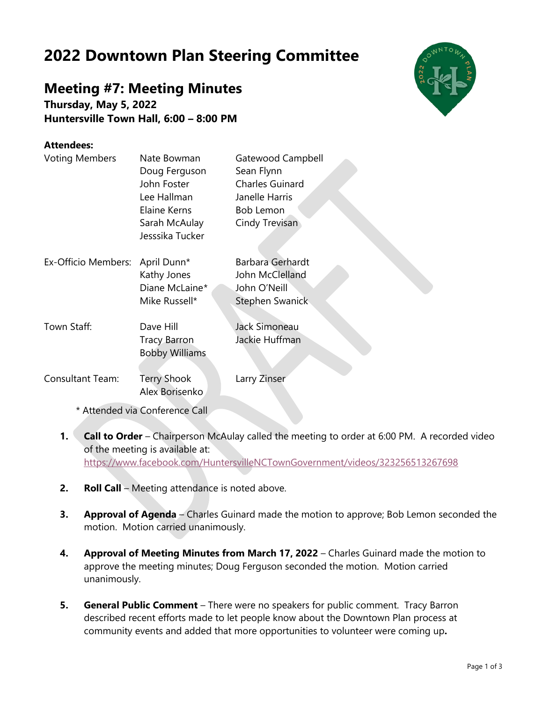## **2022 Downtown Plan Steering Committee**

## **Meeting #7: Meeting Minutes**

**Thursday, May 5, 2022 Huntersville Town Hall, 6:00 – 8:00 PM**

## **Attendees:**

| <b>Voting Members</b>   | Nate Bowman<br>Doug Ferguson<br>John Foster<br>Lee Hallman<br>Elaine Kerns<br>Sarah McAulay<br>Jesssika Tucker | Gatewood Campbell<br>Sean Flynn<br><b>Charles Guinard</b><br>Janelle Harris<br><b>Bob Lemon</b><br>Cindy Trevisan |
|-------------------------|----------------------------------------------------------------------------------------------------------------|-------------------------------------------------------------------------------------------------------------------|
| Ex-Officio Members:     | April Dunn*<br>Kathy Jones<br>Diane McLaine*<br>Mike Russell*                                                  | Barbara Gerhardt<br>John McClelland<br>John O'Neill<br>Stephen Swanick                                            |
| Town Staff:             | Dave Hill<br><b>Tracy Barron</b><br><b>Bobby Williams</b>                                                      | Jack Simoneau<br>Jackie Huffman                                                                                   |
| <b>Consultant Team:</b> | <b>Terry Shook</b><br>Alex Borisenko                                                                           | Larry Zinser                                                                                                      |

\* Attended via Conference Call

- **1. Call to Order** Chairperson McAulay called the meeting to order at 6:00 PM. A recorded video of the meeting is available at: <https://www.facebook.com/HuntersvilleNCTownGovernment/videos/323256513267698>
- **2. Roll Call** Meeting attendance is noted above.
- **3. Approval of Agenda** Charles Guinard made the motion to approve; Bob Lemon seconded the motion. Motion carried unanimously.
- **4. Approval of Meeting Minutes from March 17, 2022** Charles Guinard made the motion to approve the meeting minutes; Doug Ferguson seconded the motion. Motion carried unanimously.
- **5. General Public Comment** There were no speakers for public comment. Tracy Barron described recent efforts made to let people know about the Downtown Plan process at community events and added that more opportunities to volunteer were coming up**.**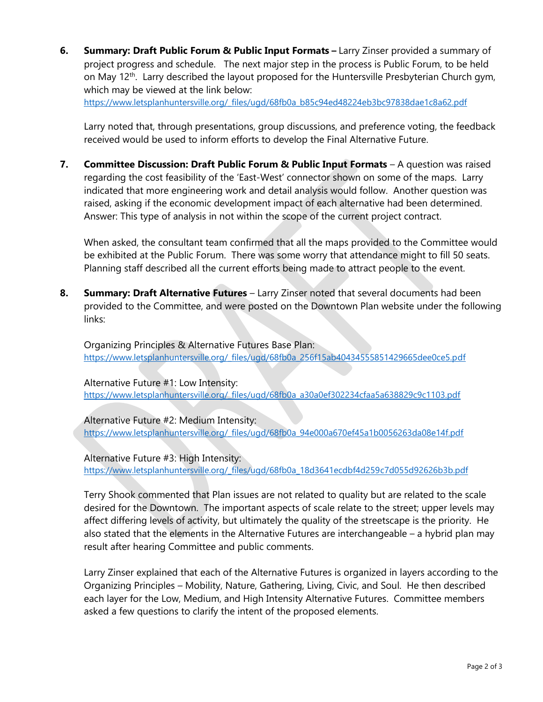**6. Summary: Draft Public Forum & Public Input Formats –** Larry Zinser provided a summary of project progress and schedule. The next major step in the process is Public Forum, to be held on May 12<sup>th</sup>. Larry described the layout proposed for the Huntersville Presbyterian Church gym, which may be viewed at the link below:

[https://www.letsplanhuntersville.org/\\_files/ugd/68fb0a\\_b85c94ed48224eb3bc97838dae1c8a62.pdf](https://www.letsplanhuntersville.org/_files/ugd/68fb0a_b85c94ed48224eb3bc97838dae1c8a62.pdf)

Larry noted that, through presentations, group discussions, and preference voting, the feedback received would be used to inform efforts to develop the Final Alternative Future.

**7. Committee Discussion: Draft Public Forum & Public Input Formats** – A question was raised regarding the cost feasibility of the 'East-West' connector shown on some of the maps. Larry indicated that more engineering work and detail analysis would follow. Another question was raised, asking if the economic development impact of each alternative had been determined. Answer: This type of analysis in not within the scope of the current project contract.

When asked, the consultant team confirmed that all the maps provided to the Committee would be exhibited at the Public Forum. There was some worry that attendance might to fill 50 seats. Planning staff described all the current efforts being made to attract people to the event.

**8. Summary: Draft Alternative Futures** – Larry Zinser noted that several documents had been provided to the Committee, and were posted on the Downtown Plan website under the following links:

Organizing Principles & Alternative Futures Base Plan: [https://www.letsplanhuntersville.org/\\_files/ugd/68fb0a\\_256f15ab40434555851429665dee0ce5.pdf](https://www.letsplanhuntersville.org/_files/ugd/68fb0a_256f15ab40434555851429665dee0ce5.pdf)

Alternative Future #1: Low Intensity: [https://www.letsplanhuntersville.org/\\_files/ugd/68fb0a\\_a30a0ef302234cfaa5a638829c9c1103.pdf](https://www.letsplanhuntersville.org/_files/ugd/68fb0a_a30a0ef302234cfaa5a638829c9c1103.pdf)

Alternative Future #2: Medium Intensity: [https://www.letsplanhuntersville.org/\\_files/ugd/68fb0a\\_94e000a670ef45a1b0056263da08e14f.pdf](https://www.letsplanhuntersville.org/_files/ugd/68fb0a_94e000a670ef45a1b0056263da08e14f.pdf)

Alternative Future #3: High Intensity: [https://www.letsplanhuntersville.org/\\_files/ugd/68fb0a\\_18d3641ecdbf4d259c7d055d92626b3b.pdf](https://www.letsplanhuntersville.org/_files/ugd/68fb0a_18d3641ecdbf4d259c7d055d92626b3b.pdf)

Terry Shook commented that Plan issues are not related to quality but are related to the scale desired for the Downtown. The important aspects of scale relate to the street; upper levels may affect differing levels of activity, but ultimately the quality of the streetscape is the priority. He also stated that the elements in the Alternative Futures are interchangeable – a hybrid plan may result after hearing Committee and public comments.

Larry Zinser explained that each of the Alternative Futures is organized in layers according to the Organizing Principles – Mobility, Nature, Gathering, Living, Civic, and Soul. He then described each layer for the Low, Medium, and High Intensity Alternative Futures. Committee members asked a few questions to clarify the intent of the proposed elements.